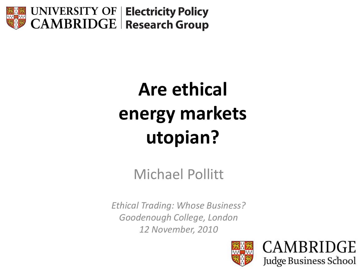

#### **Are ethical energy markets utopian?**

#### Michael Pollitt

*Ethical Trading: Whose Business? Goodenough College, London 12 November, 2010*



**CAMBRIDGE Judge Business School**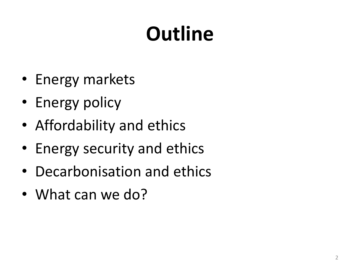# **Outline**

- Energy markets
- Energy policy
- Affordability and ethics
- Energy security and ethics
- Decarbonisation and ethics
- What can we do?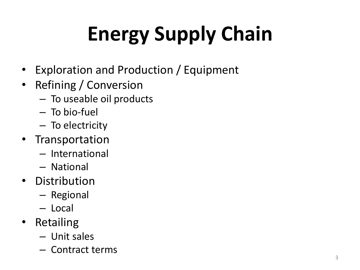# **Energy Supply Chain**

- Exploration and Production / Equipment
- Refining / Conversion
	- To useable oil products
	- To bio-fuel
	- To electricity
- Transportation
	- International
	- National
- Distribution
	- Regional
	- Local
- Retailing
	- Unit sales
	- Contract terms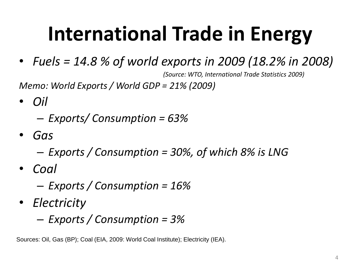### **International Trade in Energy**

• *Fuels = 14.8 % of world exports in 2009 (18.2% in 2008)* 

*(Source: WTO, International Trade Statistics 2009)*

*Memo: World Exports / World GDP = 21% (2009)*

• *Oil*

– *Exports/ Consumption = 63%*

• *Gas*

– *Exports / Consumption = 30%, of which 8% is LNG*

- *Coal*
	- *Exports / Consumption = 16%*
- *Electricity*

– *Exports / Consumption = 3%*

Sources: Oil, Gas (BP); Coal (EIA, 2009: World Coal Institute); Electricity (IEA).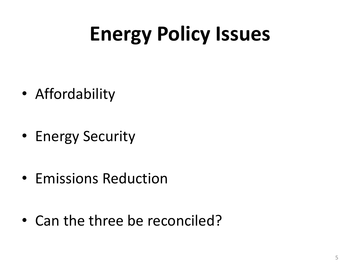## **Energy Policy Issues**

- Affordability
- Energy Security
- Emissions Reduction
- Can the three be reconciled?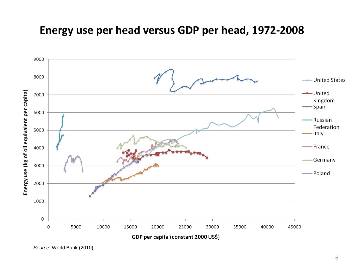#### **Energy use per head versus GDP per head, 1972-2008**



*Source:* World Bank (2010).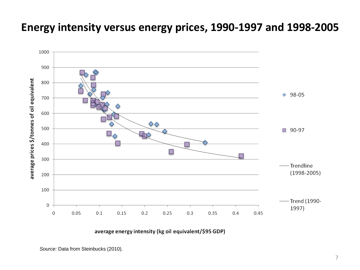#### **Energy intensity versus energy prices, 1990-1997 and 1998-2005**



average energy intensity (kg oil equivalent/\$95 GDP)

*Source:* Data from Steinbucks (2010).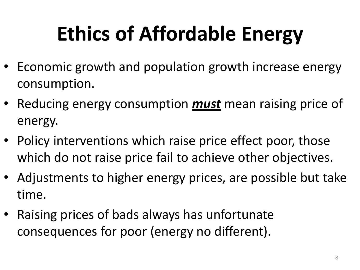# **Ethics of Affordable Energy**

- Economic growth and population growth increase energy consumption.
- Reducing energy consumption *must* mean raising price of energy.
- Policy interventions which raise price effect poor, those which do not raise price fail to achieve other objectives.
- Adjustments to higher energy prices, are possible but take time.
- Raising prices of bads always has unfortunate consequences for poor (energy no different).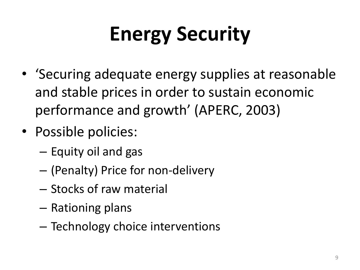# **Energy Security**

- 'Securing adequate energy supplies at reasonable and stable prices in order to sustain economic performance and growth' (APERC, 2003)
- Possible policies:
	- Equity oil and gas
	- (Penalty) Price for non-delivery
	- Stocks of raw material
	- Rationing plans
	- Technology choice interventions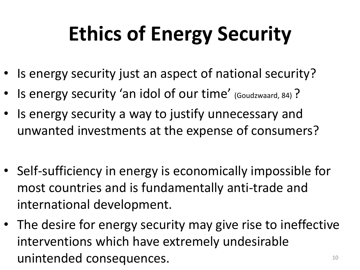# **Ethics of Energy Security**

- Is energy security just an aspect of national security?
- Is energy security 'an idol of our time' (Goudzwaard, 84) ?
- Is energy security a way to justify unnecessary and unwanted investments at the expense of consumers?
- Self-sufficiency in energy is economically impossible for most countries and is fundamentally anti-trade and international development.
- The desire for energy security may give rise to ineffective interventions which have extremely undesirable  $unintended$  consequences.  $10^{10}$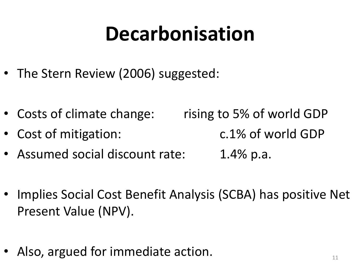#### **Decarbonisation**

- The Stern Review (2006) suggested:
- Costs of climate change: rising to 5% of world GDP
- Cost of mitigation: c.1% of world GDP
- Assumed social discount rate: 1.4% p.a.

- Implies Social Cost Benefit Analysis (SCBA) has positive Net Present Value (NPV).
- Also, argued for immediate action.  $\blacksquare$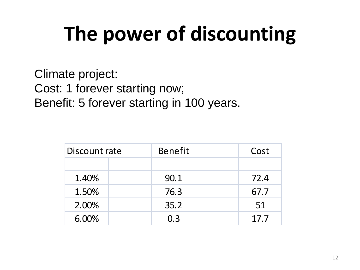### **The power of discounting**

Climate project: Cost: 1 forever starting now; Benefit: 5 forever starting in 100 years.

| Discount rate |  | <b>Benefit</b> | Cost |
|---------------|--|----------------|------|
|               |  |                |      |
| 1.40%         |  | 90.1           | 72.4 |
| 1.50%         |  | 76.3           | 67.7 |
| 2.00%         |  | 35.2           | 51   |
| 6.00%         |  | 0.3            | 17.7 |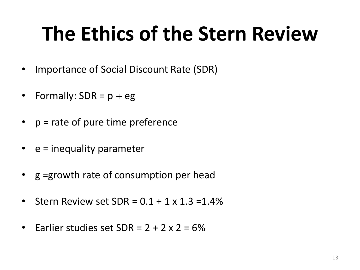#### **The Ethics of the Stern Review**

- Importance of Social Discount Rate (SDR)
- Formally:  $SDR = p + eg$
- $p =$  rate of pure time preference
- e = inequality parameter
- g =growth rate of consumption per head
- Stern Review set  $SDR = 0.1 + 1 \times 1.3 = 1.4\%$
- Earlier studies set  $SDR = 2 + 2 \times 2 = 6\%$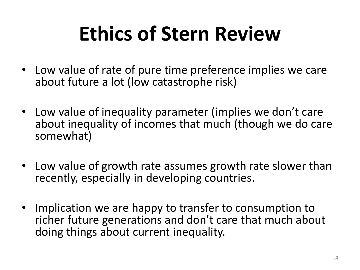## **Ethics of Stern Review**

- Low value of rate of pure time preference implies we care about future a lot (low catastrophe risk)
- Low value of inequality parameter (implies we don't care about inequality of incomes that much (though we do care somewhat)
- Low value of growth rate assumes growth rate slower than recently, especially in developing countries.
- Implication we are happy to transfer to consumption to richer future generations and don't care that much about doing things about current inequality.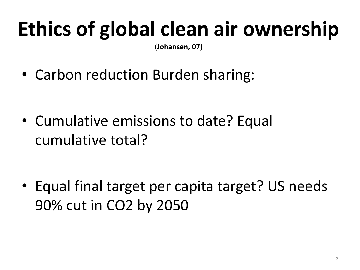# **Ethics of global clean air ownership**

**(Johansen, 07)**

• Carbon reduction Burden sharing:

• Cumulative emissions to date? Equal cumulative total?

• Equal final target per capita target? US needs 90% cut in CO2 by 2050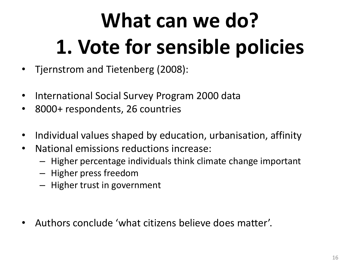# **What can we do? 1. Vote for sensible policies**

- Tjernstrom and Tietenberg (2008):
- International Social Survey Program 2000 data
- 8000+ respondents, 26 countries
- Individual values shaped by education, urbanisation, affinity
- National emissions reductions increase:
	- Higher percentage individuals think climate change important
	- Higher press freedom
	- Higher trust in government
- Authors conclude 'what citizens believe does matter'.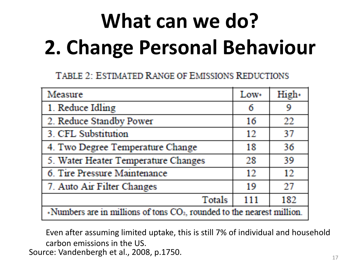# **What can we do? 2. Change Personal Behaviour**

**TABLE 2: ESTIMATED RANGE OF EMISSIONS REDUCTIONS** 

| Measure                                                                         | Low- | High. |  |  |
|---------------------------------------------------------------------------------|------|-------|--|--|
| 1. Reduce Idling                                                                | 6    | 9     |  |  |
| 2. Reduce Standby Power                                                         | 16   | -22   |  |  |
| 3. CFL Substitution                                                             | 12   | -37   |  |  |
| 4. Two Degree Temperature Change                                                | 18   | 36    |  |  |
| 5. Water Heater Temperature Changes                                             | 28   | -39   |  |  |
| 6. Tire Pressure Maintenance                                                    | -12  | 12    |  |  |
| 7. Auto Air Filter Changes                                                      | 19   | -27   |  |  |
| Totals                                                                          | 111  | 182   |  |  |
| $\cdot$ Numbers are in millions of tons $CO2$ , rounded to the nearest million. |      |       |  |  |

Source: Vandenbergh et al., 2008, p.1750. Even after assuming limited uptake, this is still 7% of individual and household carbon emissions in the US.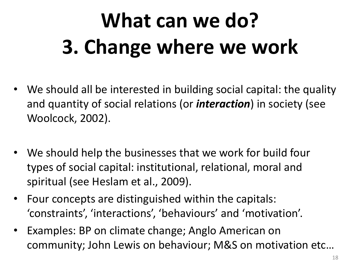# **What can we do? 3. Change where we work**

- We should all be interested in building social capital: the quality and quantity of social relations (or *interaction*) in society (see Woolcock, 2002).
- We should help the businesses that we work for build four types of social capital: institutional, relational, moral and spiritual (see Heslam et al., 2009).
- Four concepts are distinguished within the capitals: 'constraints', 'interactions', 'behaviours' and 'motivation'.
- Examples: BP on climate change; Anglo American on community; John Lewis on behaviour; M&S on motivation etc…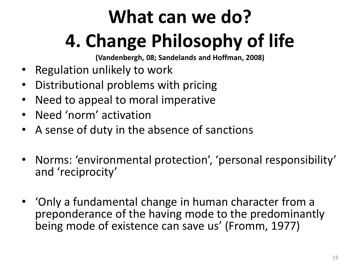#### **What can we do? 4. Change Philosophy of life**

**(Vandenbergh, 08; Sandelands and Hoffman, 2008)**

- Regulation unlikely to work
- Distributional problems with pricing
- Need to appeal to moral imperative
- Need 'norm' activation
- A sense of duty in the absence of sanctions
- Norms: 'environmental protection', 'personal responsibility' and 'reciprocity'
- 'Only a fundamental change in human character from a preponderance of the having mode to the predominantly being mode of existence can save us' (Fromm, 1977)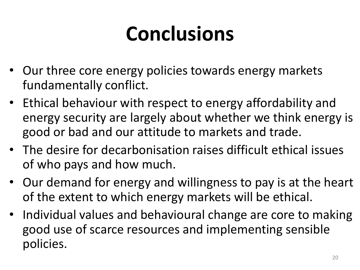## **Conclusions**

- Our three core energy policies towards energy markets fundamentally conflict.
- Ethical behaviour with respect to energy affordability and energy security are largely about whether we think energy is good or bad and our attitude to markets and trade.
- The desire for decarbonisation raises difficult ethical issues of who pays and how much.
- Our demand for energy and willingness to pay is at the heart of the extent to which energy markets will be ethical.
- Individual values and behavioural change are core to making good use of scarce resources and implementing sensible policies.